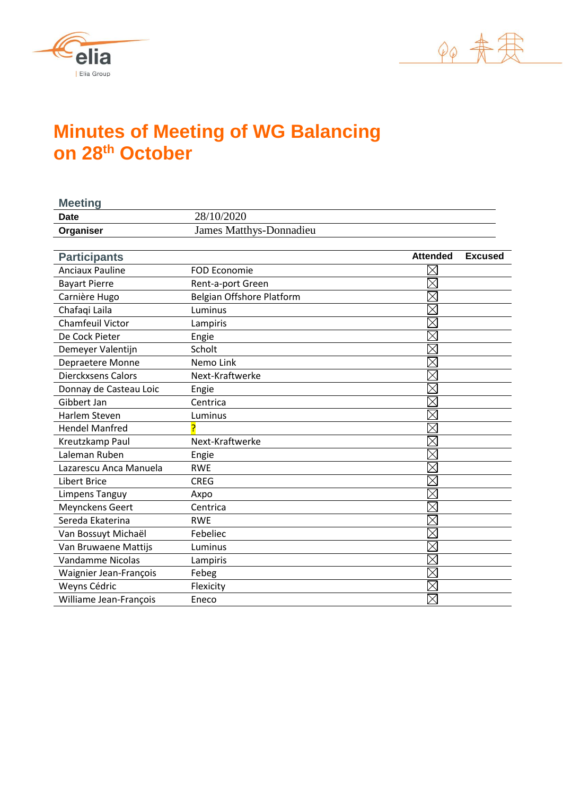



# **Minutes of Meeting of WG Balancing on 28th October**

| <b>Meeting</b>            |                                |                                   |
|---------------------------|--------------------------------|-----------------------------------|
| <b>Date</b>               | 28/10/2020                     |                                   |
| Organiser                 | <b>James Matthys-Donnadieu</b> |                                   |
|                           |                                |                                   |
| <b>Participants</b>       |                                | <b>Attended</b><br><b>Excused</b> |
| <b>Anciaux Pauline</b>    | <b>FOD Economie</b>            |                                   |
| <b>Bayart Pierre</b>      | Rent-a-port Green              | $\times$                          |
| Carnière Hugo             | Belgian Offshore Platform      | $\times$                          |
| Chafaqi Laila             | Luminus                        | $\times$                          |
| <b>Chamfeuil Victor</b>   | Lampiris                       | $\times$                          |
| De Cock Pieter            | Engie                          | $\times$                          |
| Demeyer Valentijn         | Scholt                         |                                   |
| Depraetere Monne          | Nemo Link                      | $\times$                          |
| <b>Dierckxsens Calors</b> | Next-Kraftwerke                | $\boxtimes$                       |
| Donnay de Casteau Loic    | Engie                          | $\times$                          |
| Gibbert Jan               | Centrica                       | $\times$                          |
| <b>Harlem Steven</b>      | Luminus                        | $\times$                          |
| <b>Hendel Manfred</b>     |                                |                                   |
| Kreutzkamp Paul           | Next-Kraftwerke                | $\times$                          |
| Laleman Ruben             | Engie                          | $\times$                          |
| Lazarescu Anca Manuela    | <b>RWE</b>                     | $\times$                          |
| <b>Libert Brice</b>       | <b>CREG</b>                    | $\times$                          |
| Limpens Tanguy            | Axpo                           | $\times$                          |
| <b>Meynckens Geert</b>    | Centrica                       | $\boxtimes$                       |
| Sereda Ekaterina          | <b>RWE</b>                     | $\times$                          |
| Van Bossuyt Michaël       | Febeliec                       | $\boxtimes$                       |
| Van Bruwaene Mattijs      | Luminus                        | $\times$                          |
| Vandamme Nicolas          | Lampiris                       | $\times$                          |
| Waignier Jean-François    | Febeg                          | $\boxtimes$                       |
| Weyns Cédric              | Flexicity                      |                                   |
| Williame Jean-François    | Eneco                          | $\times$                          |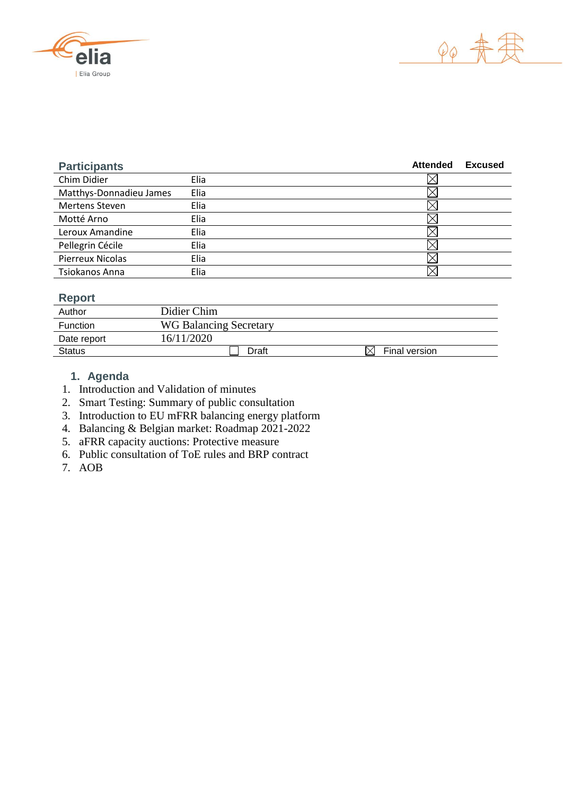



| <b>Participants</b>     |      | <b>Attended</b> | <b>Excused</b> |
|-------------------------|------|-----------------|----------------|
| Chim Didier             | Elia |                 |                |
| Matthys-Donnadieu James | Elia |                 |                |
| <b>Mertens Steven</b>   | Elia |                 |                |
| Motté Arno              | Elia |                 |                |
| Leroux Amandine         | Elia |                 |                |
| Pellegrin Cécile        | Elia |                 |                |
| <b>Pierreux Nicolas</b> | Elia |                 |                |
| Tsiokanos Anna          | Elia |                 |                |

# **Report**

| Author        | Didier Chim                   |               |
|---------------|-------------------------------|---------------|
| Function      | <b>WG Balancing Secretary</b> |               |
| Date report   | 16/11/2020                    |               |
| <b>Status</b> | Draft                         | Final version |

# **1. Agenda**

- 1. Introduction and Validation of minutes
- 2. Smart Testing: Summary of public consultation
- 3. Introduction to EU mFRR balancing energy platform
- 4. Balancing & Belgian market: Roadmap 2021-2022
- 5. aFRR capacity auctions: Protective measure
- 6. Public consultation of ToE rules and BRP contract
- 7. AOB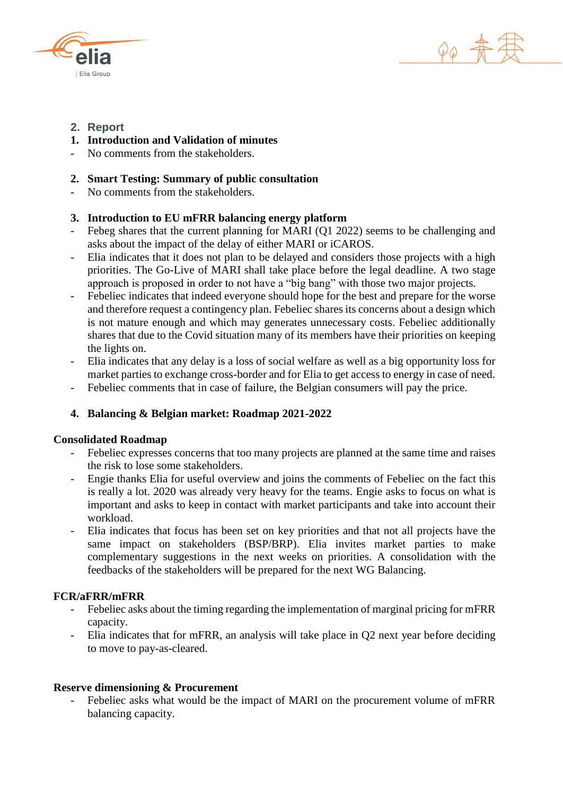



# **2. Report**

- **1. Introduction and Validation of minutes**
- No comments from the stakeholders.

### **2. Smart Testing: Summary of public consultation**

No comments from the stakeholders.

## **3. Introduction to EU mFRR balancing energy platform**

- Febeg shares that the current planning for MARI (Q1 2022) seems to be challenging and asks about the impact of the delay of either MARI or iCAROS.
- Elia indicates that it does not plan to be delayed and considers those projects with a high priorities. The Go-Live of MARI shall take place before the legal deadline. A two stage approach is proposed in order to not have a "big bang" with those two major projects.
- Febeliec indicates that indeed everyone should hope for the best and prepare for the worse and therefore request a contingency plan. Febeliec shares its concerns about a design which is not mature enough and which may generates unnecessary costs. Febeliec additionally shares that due to the Covid situation many of its members have their priorities on keeping the lights on.
- Elia indicates that any delay is a loss of social welfare as well as a big opportunity loss for market parties to exchange cross-border and for Elia to get access to energy in case of need.
- Febeliec comments that in case of failure, the Belgian consumers will pay the price.

#### **4. Balancing & Belgian market: Roadmap 2021-2022**

#### **Consolidated Roadmap**

- Febeliec expresses concerns that too many projects are planned at the same time and raises the risk to lose some stakeholders.
- Engie thanks Elia for useful overview and joins the comments of Febeliec on the fact this is really a lot. 2020 was already very heavy for the teams. Engie asks to focus on what is important and asks to keep in contact with market participants and take into account their workload.
- Elia indicates that focus has been set on key priorities and that not all projects have the same impact on stakeholders (BSP/BRP). Elia invites market parties to make complementary suggestions in the next weeks on priorities. A consolidation with the feedbacks of the stakeholders will be prepared for the next WG Balancing.

#### **FCR/aFRR/mFRR**

- Febeliec asks about the timing regarding the implementation of marginal pricing for mFRR capacity.
- Elia indicates that for mFRR, an analysis will take place in Q2 next year before deciding to move to pay-as-cleared.

#### **Reserve dimensioning & Procurement**

Febeliec asks what would be the impact of MARI on the procurement volume of mFRR balancing capacity.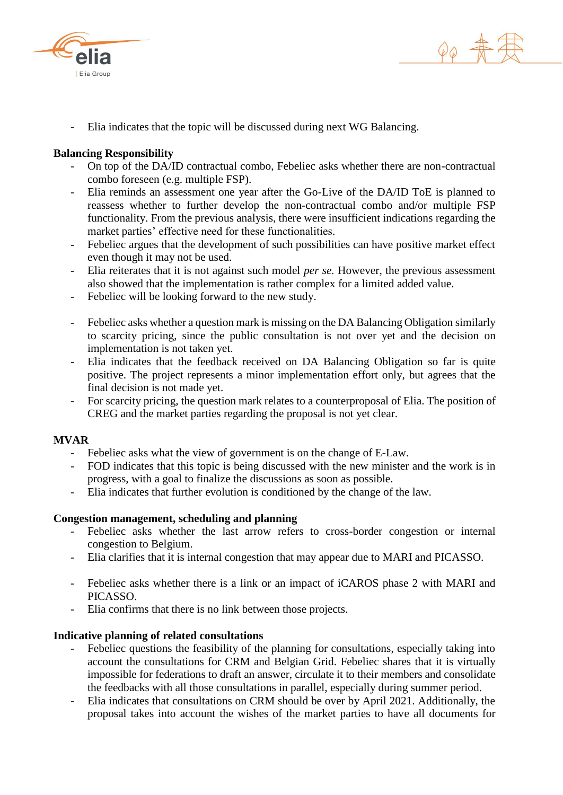



Elia indicates that the topic will be discussed during next WG Balancing.

#### **Balancing Responsibility**

- On top of the DA/ID contractual combo, Febeliec asks whether there are non-contractual combo foreseen (e.g. multiple FSP).
- Elia reminds an assessment one year after the Go-Live of the DA/ID ToE is planned to reassess whether to further develop the non-contractual combo and/or multiple FSP functionality. From the previous analysis, there were insufficient indications regarding the market parties' effective need for these functionalities.
- Febeliec argues that the development of such possibilities can have positive market effect even though it may not be used.
- Elia reiterates that it is not against such model *per se.* However, the previous assessment also showed that the implementation is rather complex for a limited added value.
- Febeliec will be looking forward to the new study.
- Febeliec asks whether a question mark is missing on the DA Balancing Obligation similarly to scarcity pricing, since the public consultation is not over yet and the decision on implementation is not taken yet.
- Elia indicates that the feedback received on DA Balancing Obligation so far is quite positive. The project represents a minor implementation effort only, but agrees that the final decision is not made yet.
- For scarcity pricing, the question mark relates to a counterproposal of Elia. The position of CREG and the market parties regarding the proposal is not yet clear.

#### **MVAR**

- Febeliec asks what the view of government is on the change of E-Law.
- FOD indicates that this topic is being discussed with the new minister and the work is in progress, with a goal to finalize the discussions as soon as possible.
- Elia indicates that further evolution is conditioned by the change of the law.

#### **Congestion management, scheduling and planning**

- Febeliec asks whether the last arrow refers to cross-border congestion or internal congestion to Belgium.
- Elia clarifies that it is internal congestion that may appear due to MARI and PICASSO.
- Febeliec asks whether there is a link or an impact of iCAROS phase 2 with MARI and PICASSO.
- Elia confirms that there is no link between those projects.

#### **Indicative planning of related consultations**

- Febeliec questions the feasibility of the planning for consultations, especially taking into account the consultations for CRM and Belgian Grid. Febeliec shares that it is virtually impossible for federations to draft an answer, circulate it to their members and consolidate the feedbacks with all those consultations in parallel, especially during summer period.
- Elia indicates that consultations on CRM should be over by April 2021. Additionally, the proposal takes into account the wishes of the market parties to have all documents for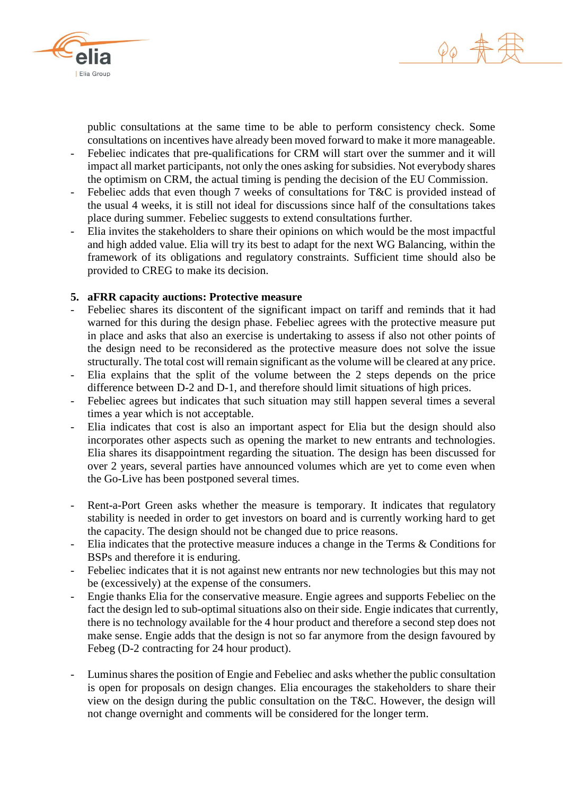



public consultations at the same time to be able to perform consistency check. Some consultations on incentives have already been moved forward to make it more manageable.

- Febeliec indicates that pre-qualifications for CRM will start over the summer and it will impact all market participants, not only the ones asking for subsidies. Not everybody shares the optimism on CRM, the actual timing is pending the decision of the EU Commission.
- Febeliec adds that even though 7 weeks of consultations for T&C is provided instead of the usual 4 weeks, it is still not ideal for discussions since half of the consultations takes place during summer. Febeliec suggests to extend consultations further.
- Elia invites the stakeholders to share their opinions on which would be the most impactful and high added value. Elia will try its best to adapt for the next WG Balancing, within the framework of its obligations and regulatory constraints. Sufficient time should also be provided to CREG to make its decision.

#### **5. aFRR capacity auctions: Protective measure**

- Febeliec shares its discontent of the significant impact on tariff and reminds that it had warned for this during the design phase. Febeliec agrees with the protective measure put in place and asks that also an exercise is undertaking to assess if also not other points of the design need to be reconsidered as the protective measure does not solve the issue structurally. The total cost will remain significant as the volume will be cleared at any price.
- Elia explains that the split of the volume between the 2 steps depends on the price difference between D-2 and D-1, and therefore should limit situations of high prices.
- Febeliec agrees but indicates that such situation may still happen several times a several times a year which is not acceptable.
- Elia indicates that cost is also an important aspect for Elia but the design should also incorporates other aspects such as opening the market to new entrants and technologies. Elia shares its disappointment regarding the situation. The design has been discussed for over 2 years, several parties have announced volumes which are yet to come even when the Go-Live has been postponed several times.
- Rent-a-Port Green asks whether the measure is temporary. It indicates that regulatory stability is needed in order to get investors on board and is currently working hard to get the capacity. The design should not be changed due to price reasons.
- Elia indicates that the protective measure induces a change in the Terms & Conditions for BSPs and therefore it is enduring.
- Febeliec indicates that it is not against new entrants nor new technologies but this may not be (excessively) at the expense of the consumers.
- Engie thanks Elia for the conservative measure. Engie agrees and supports Febeliec on the fact the design led to sub-optimal situations also on their side. Engie indicates that currently, there is no technology available for the 4 hour product and therefore a second step does not make sense. Engie adds that the design is not so far anymore from the design favoured by Febeg (D-2 contracting for 24 hour product).
- Luminus shares the position of Engie and Febeliec and asks whether the public consultation is open for proposals on design changes. Elia encourages the stakeholders to share their view on the design during the public consultation on the T&C. However, the design will not change overnight and comments will be considered for the longer term.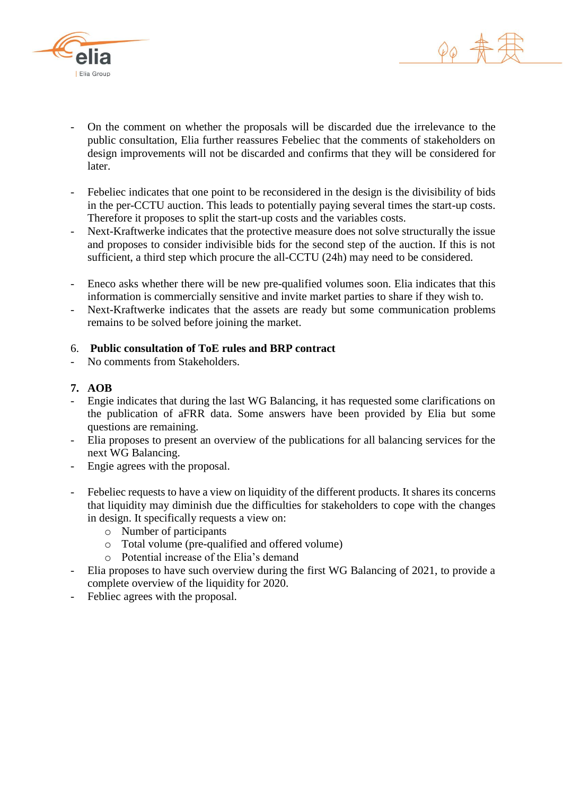



- On the comment on whether the proposals will be discarded due the irrelevance to the public consultation, Elia further reassures Febeliec that the comments of stakeholders on design improvements will not be discarded and confirms that they will be considered for later.
- Febeliec indicates that one point to be reconsidered in the design is the divisibility of bids in the per-CCTU auction. This leads to potentially paying several times the start-up costs. Therefore it proposes to split the start-up costs and the variables costs.
- Next-Kraftwerke indicates that the protective measure does not solve structurally the issue and proposes to consider indivisible bids for the second step of the auction. If this is not sufficient, a third step which procure the all-CCTU (24h) may need to be considered.
- Eneco asks whether there will be new pre-qualified volumes soon. Elia indicates that this information is commercially sensitive and invite market parties to share if they wish to.
- Next-Kraftwerke indicates that the assets are ready but some communication problems remains to be solved before joining the market.

## 6. **Public consultation of ToE rules and BRP contract**

No comments from Stakeholders.

#### **7. AOB**

- Engie indicates that during the last WG Balancing, it has requested some clarifications on the publication of aFRR data. Some answers have been provided by Elia but some questions are remaining.
- Elia proposes to present an overview of the publications for all balancing services for the next WG Balancing.
- Engie agrees with the proposal.
- Febeliec requests to have a view on liquidity of the different products. It shares its concerns that liquidity may diminish due the difficulties for stakeholders to cope with the changes in design. It specifically requests a view on:
	- o Number of participants
	- o Total volume (pre-qualified and offered volume)
	- o Potential increase of the Elia's demand
- Elia proposes to have such overview during the first WG Balancing of 2021, to provide a complete overview of the liquidity for 2020.
- Febliec agrees with the proposal.